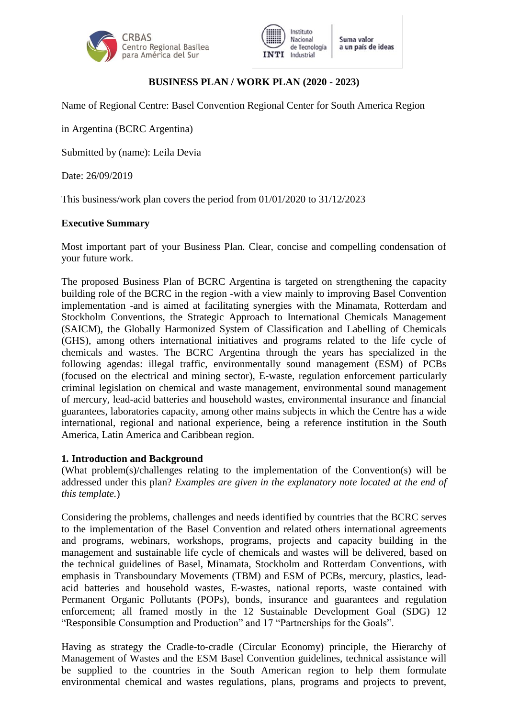



# **BUSINESS PLAN / WORK PLAN (2020 - 2023)**

Name of Regional Centre: Basel Convention Regional Center for South America Region

in Argentina (BCRC Argentina)

Submitted by (name): Leila Devia

Date: 26/09/2019

This business/work plan covers the period from 01/01/2020 to 31/12/2023

#### **Executive Summary**

Most important part of your Business Plan. Clear, concise and compelling condensation of your future work.

The proposed Business Plan of BCRC Argentina is targeted on strengthening the capacity building role of the BCRC in the region -with a view mainly to improving Basel Convention implementation -and is aimed at facilitating synergies with the Minamata, Rotterdam and Stockholm Conventions, the Strategic Approach to International Chemicals Management (SAICM), the Globally Harmonized System of Classification and Labelling of Chemicals (GHS), among others international initiatives and programs related to the life cycle of chemicals and wastes. The BCRC Argentina through the years has specialized in the following agendas: illegal traffic, environmentally sound management (ESM) of PCBs (focused on the electrical and mining sector), E-waste, regulation enforcement particularly criminal legislation on chemical and waste management, environmental sound management of mercury, lead-acid batteries and household wastes, environmental insurance and financial guarantees, laboratories capacity, among other mains subjects in which the Centre has a wide international, regional and national experience, being a reference institution in the South America, Latin America and Caribbean region.

#### **1. Introduction and Background**

(What problem(s)/challenges relating to the implementation of the Convention(s) will be addressed under this plan? *Examples are given in the explanatory note located at the end of this template.*)

Considering the problems, challenges and needs identified by countries that the BCRC serves to the implementation of the Basel Convention and related others international agreements and programs, webinars, workshops, programs, projects and capacity building in the management and sustainable life cycle of chemicals and wastes will be delivered, based on the technical guidelines of Basel, Minamata, Stockholm and Rotterdam Conventions, with emphasis in Transboundary Movements (TBM) and ESM of PCBs, mercury, plastics, leadacid batteries and household wastes, E-wastes, national reports, waste contained with Permanent Organic Pollutants (POPs), bonds, insurance and guarantees and regulation enforcement; all framed mostly in the 12 Sustainable Development Goal (SDG) 12 "Responsible Consumption and Production" and 17 "Partnerships for the Goals".

Having as strategy the Cradle-to-cradle (Circular Economy) principle, the Hierarchy of Management of Wastes and the ESM Basel Convention guidelines, technical assistance will be supplied to the countries in the South American region to help them formulate environmental chemical and wastes regulations, plans, programs and projects to prevent,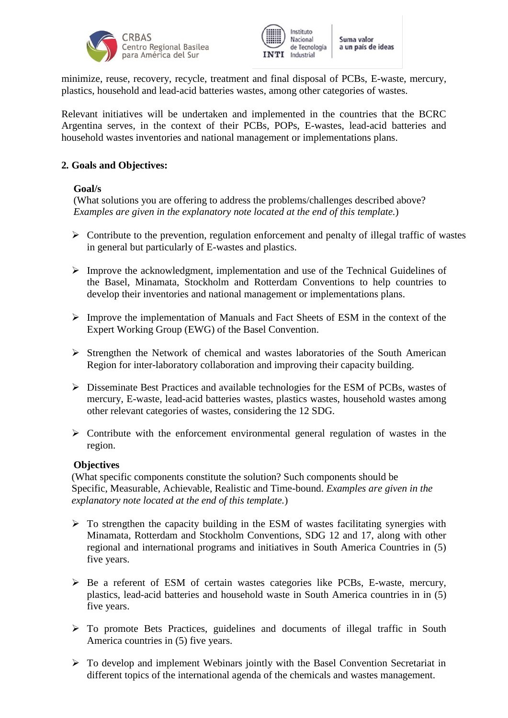



minimize, reuse, recovery, recycle, treatment and final disposal of PCBs, E-waste, mercury, plastics, household and lead-acid batteries wastes, among other categories of wastes.

Relevant initiatives will be undertaken and implemented in the countries that the BCRC Argentina serves, in the context of their PCBs, POPs, E-wastes, lead-acid batteries and household wastes inventories and national management or implementations plans.

# **2. Goals and Objectives:**

### **Goal/s**

(What solutions you are offering to address the problems/challenges described above? *Examples are given in the explanatory note located at the end of this template.*)

- $\triangleright$  Contribute to the prevention, regulation enforcement and penalty of illegal traffic of wastes in general but particularly of E-wastes and plastics.
- $\triangleright$  Improve the acknowledgment, implementation and use of the Technical Guidelines of the Basel, Minamata, Stockholm and Rotterdam Conventions to help countries to develop their inventories and national management or implementations plans.
- $\triangleright$  Improve the implementation of Manuals and Fact Sheets of ESM in the context of the Expert Working Group (EWG) of the Basel Convention.
- $\triangleright$  Strengthen the Network of chemical and wastes laboratories of the South American Region for inter-laboratory collaboration and improving their capacity building.
- $\triangleright$  Disseminate Best Practices and available technologies for the ESM of PCBs, wastes of mercury, E-waste, lead-acid batteries wastes, plastics wastes, household wastes among other relevant categories of wastes, considering the 12 SDG.
- $\triangleright$  Contribute with the enforcement environmental general regulation of wastes in the region.

### **Objectives**

(What specific components constitute the solution? Such components should be Specific, Measurable, Achievable, Realistic and Time-bound. *Examples are given in the explanatory note located at the end of this template.*)

- $\triangleright$  To strengthen the capacity building in the ESM of wastes facilitating synergies with Minamata, Rotterdam and Stockholm Conventions, SDG 12 and 17, along with other regional and international programs and initiatives in South America Countries in (5) five years.
- $\triangleright$  Be a referent of ESM of certain wastes categories like PCBs, E-waste, mercury, plastics, lead-acid batteries and household waste in South America countries in in (5) five years.
- To promote Bets Practices, guidelines and documents of illegal traffic in South America countries in (5) five years.
- $\triangleright$  To develop and implement Webinars jointly with the Basel Convention Secretariat in different topics of the international agenda of the chemicals and wastes management.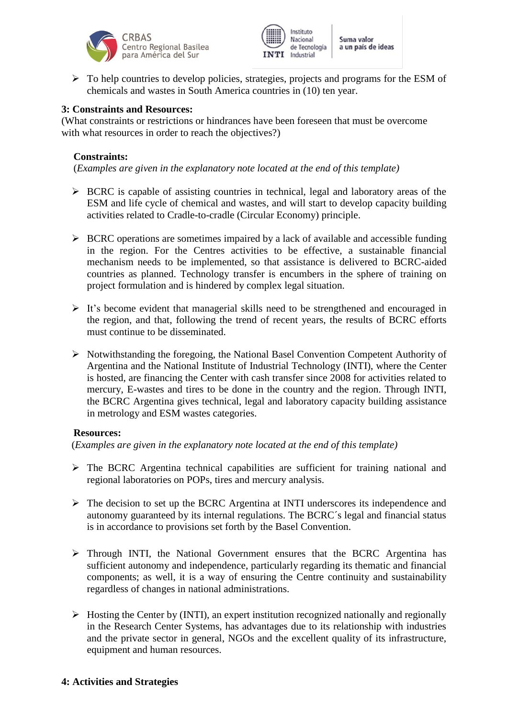



 $\triangleright$  To help countries to develop policies, strategies, projects and programs for the ESM of chemicals and wastes in South America countries in (10) ten year.

### **3: Constraints and Resources:**

(What constraints or restrictions or hindrances have been foreseen that must be overcome with what resources in order to reach the objectives?)

### **Constraints:**

(*Examples are given in the explanatory note located at the end of this template)*

- $\triangleright$  BCRC is capable of assisting countries in technical, legal and laboratory areas of the ESM and life cycle of chemical and wastes, and will start to develop capacity building activities related to Cradle-to-cradle (Circular Economy) principle.
- $\triangleright$  BCRC operations are sometimes impaired by a lack of available and accessible funding in the region. For the Centres activities to be effective, a sustainable financial mechanism needs to be implemented, so that assistance is delivered to BCRC-aided countries as planned. Technology transfer is encumbers in the sphere of training on project formulation and is hindered by complex legal situation.
- $\triangleright$  It's become evident that managerial skills need to be strengthened and encouraged in the region, and that, following the trend of recent years, the results of BCRC efforts must continue to be disseminated.
- $\triangleright$  Notwithstanding the foregoing, the National Basel Convention Competent Authority of Argentina and the National Institute of Industrial Technology (INTI), where the Center is hosted, are financing the Center with cash transfer since 2008 for activities related to mercury, E-wastes and tires to be done in the country and the region. Through INTI, the BCRC Argentina gives technical, legal and laboratory capacity building assistance in metrology and ESM wastes categories.

### **Resources:**

(*Examples are given in the explanatory note located at the end of this template)*

- $\triangleright$  The BCRC Argentina technical capabilities are sufficient for training national and regional laboratories on POPs, tires and mercury analysis.
- $\triangleright$  The decision to set up the BCRC Argentina at INTI underscores its independence and autonomy guaranteed by its internal regulations. The BCRC´s legal and financial status is in accordance to provisions set forth by the Basel Convention.
- $\triangleright$  Through INTI, the National Government ensures that the BCRC Argentina has sufficient autonomy and independence, particularly regarding its thematic and financial components; as well, it is a way of ensuring the Centre continuity and sustainability regardless of changes in national administrations.
- $\triangleright$  Hosting the Center by (INTI), an expert institution recognized nationally and regionally in the Research Center Systems, has advantages due to its relationship with industries and the private sector in general, NGOs and the excellent quality of its infrastructure, equipment and human resources.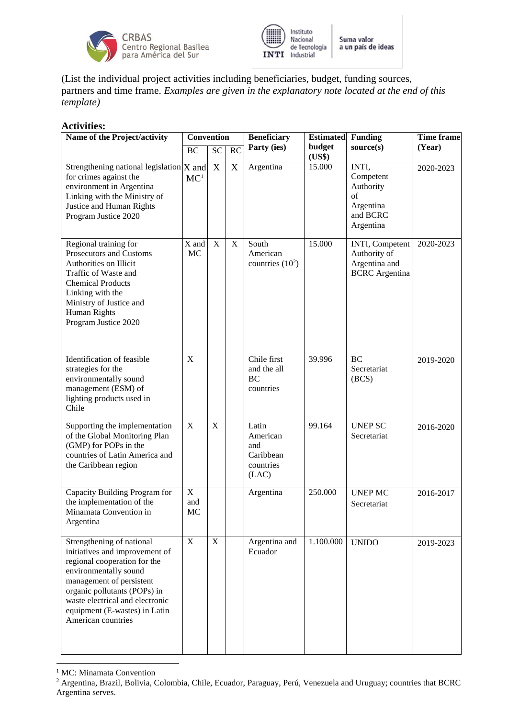



(List the individual project activities including beneficiaries, budget, funding sources, partners and time frame. *Examples are given in the explanatory note located at the end of this template)*

### **Activities:**

| Name of the Project/activity                                                                                                                                                                                                                                               | <b>Convention</b>     |             |                           | <b>Beneficiary</b>                                          | <b>Estimated</b> | Funding                                                                     | <b>Time frame</b> |
|----------------------------------------------------------------------------------------------------------------------------------------------------------------------------------------------------------------------------------------------------------------------------|-----------------------|-------------|---------------------------|-------------------------------------------------------------|------------------|-----------------------------------------------------------------------------|-------------------|
|                                                                                                                                                                                                                                                                            | BC                    | SC          | RC                        | Party (ies)                                                 | budget<br>(US\$) | source(s)                                                                   | (Year)            |
| Strengthening national legislation $X$ and<br>for crimes against the<br>environment in Argentina<br>Linking with the Ministry of<br>Justice and Human Rights<br>Program Justice 2020                                                                                       | MC <sup>1</sup>       | $\mathbf X$ | $\boldsymbol{\mathrm{X}}$ | Argentina                                                   | 15.000           | INTI,<br>Competent<br>Authority<br>of<br>Argentina<br>and BCRC<br>Argentina | 2020-2023         |
| Regional training for<br>Prosecutors and Customs<br>Authorities on Illicit<br>Traffic of Waste and<br><b>Chemical Products</b><br>Linking with the<br>Ministry of Justice and<br>Human Rights<br>Program Justice 2020                                                      | X and<br><b>MC</b>    | $\mathbf X$ | $\mathbf X$               | South<br>American<br>countries $(10^2)$                     | 15.000           | INTI, Competent<br>Authority of<br>Argentina and<br><b>BCRC</b> Argentina   | 2020-2023         |
| Identification of feasible<br>strategies for the<br>environmentally sound<br>management (ESM) of<br>lighting products used in<br>Chile                                                                                                                                     | X                     |             |                           | Chile first<br>and the all<br><b>BC</b><br>countries        | 39.996           | $\overline{BC}$<br>Secretariat<br>(BCS)                                     | 2019-2020         |
| Supporting the implementation<br>of the Global Monitoring Plan<br>(GMP) for POPs in the<br>countries of Latin America and<br>the Caribbean region                                                                                                                          | $\mathbf X$           | $\mathbf X$ |                           | Latin<br>American<br>and<br>Caribbean<br>countries<br>(LAC) | 99.164           | <b>UNEP SC</b><br>Secretariat                                               | 2016-2020         |
| Capacity Building Program for<br>the implementation of the<br>Minamata Convention in<br>Argentina                                                                                                                                                                          | X<br>and<br><b>MC</b> |             |                           | Argentina                                                   | 250.000          | <b>UNEP MC</b><br>Secretariat                                               | 2016-2017         |
| Strengthening of national<br>initiatives and improvement of<br>regional cooperation for the<br>environmentally sound<br>management of persistent<br>organic pollutants (POPs) in<br>waste electrical and electronic<br>equipment (E-wastes) in Latin<br>American countries | $\overline{X}$        | $\mathbf X$ |                           | Argentina and<br>Ecuador                                    | 1.100.000        | <b>UNIDO</b>                                                                | 2019-2023         |

<sup>&</sup>lt;sup>1</sup> MC: Minamata Convention

l

<sup>&</sup>lt;sup>2</sup> Argentina, Brazil, Bolivia, Colombia, Chile, Ecuador, Paraguay, Perú, Venezuela and Uruguay; countries that BCRC Argentina serves.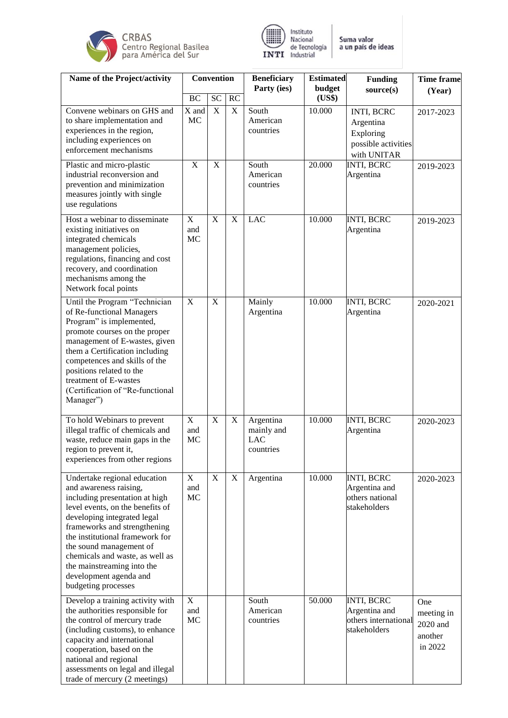



| Name of the Project/activity                                                                                                                                                                                                                                                                                                                                                | <b>Convention</b>                      |             |             | <b>Beneficiary</b>                                 | <b>Estimated</b> | <b>Funding</b>                                                             | <b>Time frame</b>                                   |
|-----------------------------------------------------------------------------------------------------------------------------------------------------------------------------------------------------------------------------------------------------------------------------------------------------------------------------------------------------------------------------|----------------------------------------|-------------|-------------|----------------------------------------------------|------------------|----------------------------------------------------------------------------|-----------------------------------------------------|
|                                                                                                                                                                                                                                                                                                                                                                             | <b>BC</b>                              | <b>SC</b>   | RC          | Party (ies)                                        | budget<br>(US\$) | source(s)                                                                  | (Year)                                              |
| Convene webinars on GHS and<br>to share implementation and<br>experiences in the region,<br>including experiences on<br>enforcement mechanisms                                                                                                                                                                                                                              | X and<br>MC                            | $\mathbf X$ | $\mathbf X$ | South<br>American<br>countries                     | 10.000           | INTI, BCRC<br>Argentina<br>Exploring<br>possible activities<br>with UNITAR | 2017-2023                                           |
| Plastic and micro-plastic<br>industrial reconversion and<br>prevention and minimization<br>measures jointly with single<br>use regulations                                                                                                                                                                                                                                  | $\mathbf X$                            | $\mathbf X$ |             | South<br>American<br>countries                     | 20.000           | <b>INTI, BCRC</b><br>Argentina                                             | 2019-2023                                           |
| Host a webinar to disseminate<br>existing initiatives on<br>integrated chemicals<br>management policies,<br>regulations, financing and cost<br>recovery, and coordination<br>mechanisms among the<br>Network focal points                                                                                                                                                   | $\mathbf X$<br>and<br>MC               | $\mathbf X$ | $\mathbf X$ | <b>LAC</b>                                         | 10.000           | <b>INTI, BCRC</b><br>Argentina                                             | 2019-2023                                           |
| Until the Program "Technician<br>of Re-functional Managers<br>Program" is implemented,<br>promote courses on the proper<br>management of E-wastes, given<br>them a Certification including<br>competences and skills of the<br>positions related to the<br>treatment of E-wastes<br>(Certification of "Re-functional<br>Manager")                                           | $\mathbf X$                            | $\mathbf X$ |             | Mainly<br>Argentina                                | 10.000           | <b>INTI, BCRC</b><br>Argentina                                             | 2020-2021                                           |
| To hold Webinars to prevent<br>illegal traffic of chemicals and<br>waste, reduce main gaps in the<br>region to prevent it.<br>experiences from other regions                                                                                                                                                                                                                | $\boldsymbol{\mathrm{X}}$<br>and<br>MC | $\mathbf X$ | $\mathbf X$ | Argentina<br>mainly and<br><b>LAC</b><br>countries | 10.000           | <b>INTI, BCRC</b><br>Argentina                                             | 2020-2023                                           |
| Undertake regional education<br>and awareness raising,<br>including presentation at high<br>level events, on the benefits of<br>developing integrated legal<br>frameworks and strengthening<br>the institutional framework for<br>the sound management of<br>chemicals and waste, as well as<br>the mainstreaming into the<br>development agenda and<br>budgeting processes | $\mathbf X$<br>and<br>MC               | $\mathbf X$ | X           | Argentina                                          | 10.000           | <b>INTI, BCRC</b><br>Argentina and<br>others national<br>stakeholders      | 2020-2023                                           |
| Develop a training activity with<br>the authorities responsible for<br>the control of mercury trade<br>(including customs), to enhance<br>capacity and international<br>cooperation, based on the<br>national and regional<br>assessments on legal and illegal<br>trade of mercury (2 meetings)                                                                             | $\mathbf X$<br>and<br>MC               |             |             | South<br>American<br>countries                     | 50.000           | <b>INTI, BCRC</b><br>Argentina and<br>others international<br>stakeholders | One<br>meeting in<br>2020 and<br>another<br>in 2022 |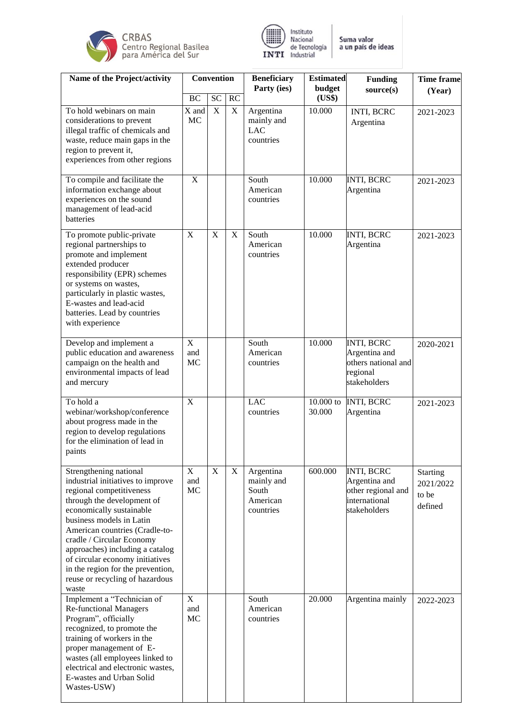



| Name of the Project/activity                                                                                                                                                                                                                                                                                                                                                                        | Convention               |                             |                          | <b>Beneficiary</b><br>Party (ies)                         | <b>Estimated</b><br>budget | <b>Funding</b><br>source(s)                                                               | <b>Time frame</b><br>(Year)                      |
|-----------------------------------------------------------------------------------------------------------------------------------------------------------------------------------------------------------------------------------------------------------------------------------------------------------------------------------------------------------------------------------------------------|--------------------------|-----------------------------|--------------------------|-----------------------------------------------------------|----------------------------|-------------------------------------------------------------------------------------------|--------------------------------------------------|
| To hold webinars on main<br>considerations to prevent<br>illegal traffic of chemicals and<br>waste, reduce main gaps in the<br>region to prevent it,<br>experiences from other regions                                                                                                                                                                                                              | <b>BC</b><br>X and<br>MC | <b>SC</b><br>$\overline{X}$ | <b>RC</b><br>$\mathbf X$ | Argentina<br>mainly and<br><b>LAC</b><br>countries        | (US\$)<br>10.000           | INTI, BCRC<br>Argentina                                                                   | 2021-2023                                        |
| To compile and facilitate the<br>information exchange about<br>experiences on the sound<br>management of lead-acid<br>batteries                                                                                                                                                                                                                                                                     | $\mathbf X$              |                             |                          | South<br>American<br>countries                            | 10.000                     | <b>INTI, BCRC</b><br>Argentina                                                            | 2021-2023                                        |
| To promote public-private<br>regional partnerships to<br>promote and implement<br>extended producer<br>responsibility (EPR) schemes<br>or systems on wastes,<br>particularly in plastic wastes,<br>E-wastes and lead-acid<br>batteries. Lead by countries<br>with experience                                                                                                                        | $\mathbf X$              | X                           | $\mathbf X$              | South<br>American<br>countries                            | 10.000                     | <b>INTI, BCRC</b><br>Argentina                                                            | 2021-2023                                        |
| Develop and implement a<br>public education and awareness<br>campaign on the health and<br>environmental impacts of lead<br>and mercury                                                                                                                                                                                                                                                             | X<br>and<br>MC           |                             |                          | South<br>American<br>countries                            | 10.000                     | <b>INTI, BCRC</b><br>Argentina and<br>others national and<br>regional<br>stakeholders     | 2020-2021                                        |
| To hold a<br>webinar/workshop/conference<br>about progress made in the<br>region to develop regulations<br>for the elimination of lead in<br>paints                                                                                                                                                                                                                                                 | $\overline{X}$           |                             |                          | <b>LAC</b><br>countries                                   | $10.000$ to<br>30.000      | <b>INTI, BCRC</b><br>Argentina                                                            | 2021-2023                                        |
| Strengthening national<br>industrial initiatives to improve<br>regional competitiveness<br>through the development of<br>economically sustainable<br>business models in Latin<br>American countries (Cradle-to-<br>cradle / Circular Economy<br>approaches) including a catalog<br>of circular economy initiatives<br>in the region for the prevention,<br>reuse or recycling of hazardous<br>waste | $\mathbf X$<br>and<br>MC | $\overline{X}$              | $\mathbf X$              | Argentina<br>mainly and<br>South<br>American<br>countries | 600.000                    | <b>INTI, BCRC</b><br>Argentina and<br>other regional and<br>international<br>stakeholders | <b>Starting</b><br>2021/2022<br>to be<br>defined |
| Implement a "Technician of<br><b>Re-functional Managers</b><br>Program", officially<br>recognized, to promote the<br>training of workers in the<br>proper management of E-<br>wastes (all employees linked to<br>electrical and electronic wastes,<br>E-wastes and Urban Solid<br>Wastes-USW)                                                                                                       | $\mathbf X$<br>and<br>MC |                             |                          | South<br>American<br>countries                            | 20.000                     | Argentina mainly                                                                          | 2022-2023                                        |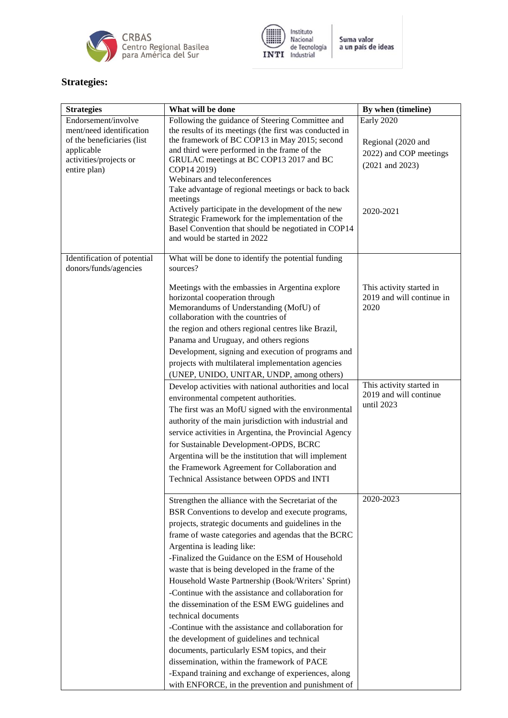



# **Strategies:**

| <b>Strategies</b>                                                                                                                     | What will be done                                                                                                                                                                                                                                                                                                                                                                                                                                                                                                                                                                                                                                                                                                                                                                                                                                                    | By when (timeline)                                                                             |
|---------------------------------------------------------------------------------------------------------------------------------------|----------------------------------------------------------------------------------------------------------------------------------------------------------------------------------------------------------------------------------------------------------------------------------------------------------------------------------------------------------------------------------------------------------------------------------------------------------------------------------------------------------------------------------------------------------------------------------------------------------------------------------------------------------------------------------------------------------------------------------------------------------------------------------------------------------------------------------------------------------------------|------------------------------------------------------------------------------------------------|
| Endorsement/involve<br>ment/need identification<br>of the beneficiaries (list<br>applicable<br>activities/projects or<br>entire plan) | Following the guidance of Steering Committee and<br>the results of its meetings (the first was conducted in<br>the framework of BC COP13 in May 2015; second<br>and third were performed in the frame of the<br>GRULAC meetings at BC COP13 2017 and BC<br>COP14 2019)<br>Webinars and teleconferences<br>Take advantage of regional meetings or back to back<br>meetings<br>Actively participate in the development of the new<br>Strategic Framework for the implementation of the<br>Basel Convention that should be negotiated in COP14<br>and would be started in 2022                                                                                                                                                                                                                                                                                          | Early 2020<br>Regional (2020 and<br>2022) and COP meetings<br>$(2021$ and $2023)$<br>2020-2021 |
|                                                                                                                                       |                                                                                                                                                                                                                                                                                                                                                                                                                                                                                                                                                                                                                                                                                                                                                                                                                                                                      |                                                                                                |
| Identification of potential<br>donors/funds/agencies                                                                                  | What will be done to identify the potential funding<br>sources?                                                                                                                                                                                                                                                                                                                                                                                                                                                                                                                                                                                                                                                                                                                                                                                                      |                                                                                                |
|                                                                                                                                       | Meetings with the embassies in Argentina explore<br>horizontal cooperation through<br>Memorandums of Understanding (MofU) of<br>collaboration with the countries of<br>the region and others regional centres like Brazil,<br>Panama and Uruguay, and others regions<br>Development, signing and execution of programs and<br>projects with multilateral implementation agencies<br>(UNEP, UNIDO, UNITAR, UNDP, among others)                                                                                                                                                                                                                                                                                                                                                                                                                                        | This activity started in<br>2019 and will continue in<br>2020                                  |
|                                                                                                                                       | Develop activities with national authorities and local<br>environmental competent authorities.<br>The first was an MofU signed with the environmental<br>authority of the main jurisdiction with industrial and<br>service activities in Argentina, the Provincial Agency<br>for Sustainable Development-OPDS, BCRC<br>Argentina will be the institution that will implement<br>the Framework Agreement for Collaboration and<br>Technical Assistance between OPDS and INTI                                                                                                                                                                                                                                                                                                                                                                                          | This activity started in<br>2019 and will continue<br>until 2023                               |
|                                                                                                                                       | Strengthen the alliance with the Secretariat of the<br>BSR Conventions to develop and execute programs,<br>projects, strategic documents and guidelines in the<br>frame of waste categories and agendas that the BCRC<br>Argentina is leading like:<br>-Finalized the Guidance on the ESM of Household<br>waste that is being developed in the frame of the<br>Household Waste Partnership (Book/Writers' Sprint)<br>-Continue with the assistance and collaboration for<br>the dissemination of the ESM EWG guidelines and<br>technical documents<br>-Continue with the assistance and collaboration for<br>the development of guidelines and technical<br>documents, particularly ESM topics, and their<br>dissemination, within the framework of PACE<br>-Expand training and exchange of experiences, along<br>with ENFORCE, in the prevention and punishment of | 2020-2023                                                                                      |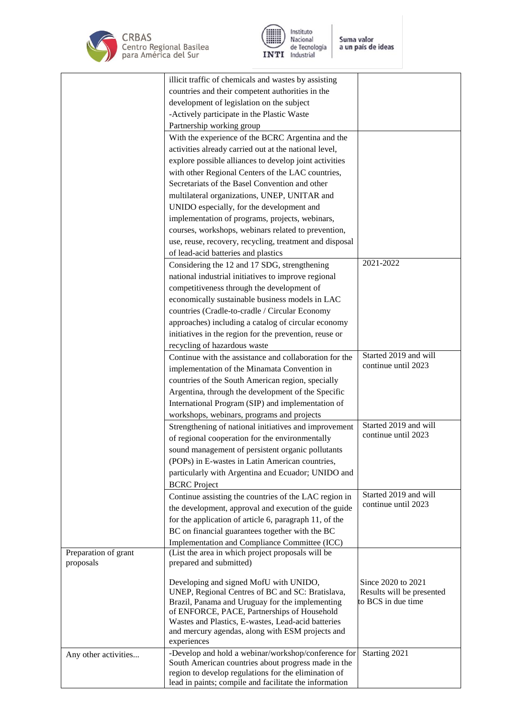



|                      | illicit traffic of chemicals and wastes by assisting                                       |                                                 |
|----------------------|--------------------------------------------------------------------------------------------|-------------------------------------------------|
|                      | countries and their competent authorities in the                                           |                                                 |
|                      | development of legislation on the subject                                                  |                                                 |
|                      | -Actively participate in the Plastic Waste                                                 |                                                 |
|                      | Partnership working group                                                                  |                                                 |
|                      | With the experience of the BCRC Argentina and the                                          |                                                 |
|                      | activities already carried out at the national level,                                      |                                                 |
|                      | explore possible alliances to develop joint activities                                     |                                                 |
|                      |                                                                                            |                                                 |
|                      | with other Regional Centers of the LAC countries,                                          |                                                 |
|                      | Secretariats of the Basel Convention and other                                             |                                                 |
|                      | multilateral organizations, UNEP, UNITAR and                                               |                                                 |
|                      | UNIDO especially, for the development and                                                  |                                                 |
|                      | implementation of programs, projects, webinars,                                            |                                                 |
|                      | courses, workshops, webinars related to prevention,                                        |                                                 |
|                      | use, reuse, recovery, recycling, treatment and disposal                                    |                                                 |
|                      | of lead-acid batteries and plastics                                                        |                                                 |
|                      | Considering the 12 and 17 SDG, strengthening                                               | 2021-2022                                       |
|                      | national industrial initiatives to improve regional                                        |                                                 |
|                      | competitiveness through the development of                                                 |                                                 |
|                      | economically sustainable business models in LAC                                            |                                                 |
|                      | countries (Cradle-to-cradle / Circular Economy                                             |                                                 |
|                      | approaches) including a catalog of circular economy                                        |                                                 |
|                      | initiatives in the region for the prevention, reuse or                                     |                                                 |
|                      | recycling of hazardous waste                                                               |                                                 |
|                      | Continue with the assistance and collaboration for the                                     | Started 2019 and will                           |
|                      | implementation of the Minamata Convention in                                               | continue until 2023                             |
|                      | countries of the South American region, specially                                          |                                                 |
|                      | Argentina, through the development of the Specific                                         |                                                 |
|                      |                                                                                            |                                                 |
|                      | International Program (SIP) and implementation of                                          |                                                 |
|                      | workshops, webinars, programs and projects                                                 | Started 2019 and will                           |
|                      | Strengthening of national initiatives and improvement                                      | continue until 2023                             |
|                      | of regional cooperation for the environmentally                                            |                                                 |
|                      | sound management of persistent organic pollutants                                          |                                                 |
|                      | (POPs) in E-wastes in Latin American countries,                                            |                                                 |
|                      | particularly with Argentina and Ecuador; UNIDO and                                         |                                                 |
|                      | <b>BCRC</b> Project                                                                        |                                                 |
|                      | Continue assisting the countries of the LAC region in                                      | Started 2019 and will                           |
|                      | the development, approval and execution of the guide                                       | continue until 2023                             |
|                      | for the application of article 6, paragraph 11, of the                                     |                                                 |
|                      | BC on financial guarantees together with the BC                                            |                                                 |
|                      | Implementation and Compliance Committee (ICC)                                              |                                                 |
| Preparation of grant | (List the area in which project proposals will be                                          |                                                 |
| proposals            | prepared and submitted)                                                                    |                                                 |
|                      |                                                                                            |                                                 |
|                      | Developing and signed MofU with UNIDO,<br>UNEP, Regional Centres of BC and SC: Bratislava, | Since 2020 to 2021<br>Results will be presented |
|                      | Brazil, Panama and Uruguay for the implementing                                            | to BCS in due time                              |
|                      | of ENFORCE, PACE, Partnerships of Household                                                |                                                 |
|                      | Wastes and Plastics, E-wastes, Lead-acid batteries                                         |                                                 |
|                      | and mercury agendas, along with ESM projects and                                           |                                                 |
|                      | experiences                                                                                |                                                 |
| Any other activities | -Develop and hold a webinar/workshop/conference for                                        | Starting 2021                                   |
|                      | South American countries about progress made in the                                        |                                                 |
|                      | region to develop regulations for the elimination of                                       |                                                 |
|                      | lead in paints; compile and facilitate the information                                     |                                                 |